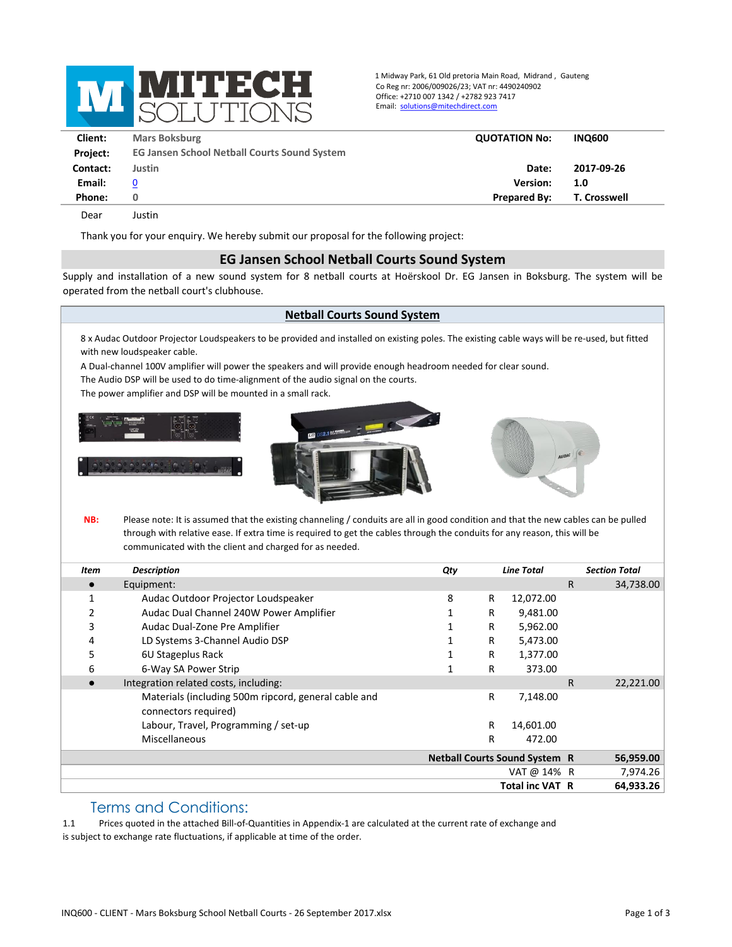

1 Midway Park, 61 Old pretoria Main Road, Midrand , Gauteng Co Reg nr: 2006/009026/23; VAT nr: 4490240902 Office: +2710 007 1342 / +2782 923 7417 Email: solutions@mitechdirect.com

| Client:         | <b>Mars Boksburg</b>                                | <b>QUOTATION No:</b> | <b>INQ600</b>       |  |
|-----------------|-----------------------------------------------------|----------------------|---------------------|--|
| <b>Project:</b> | <b>EG Jansen School Netball Courts Sound System</b> |                      |                     |  |
| Contact:        | Justin                                              | Date:                | 2017-09-26          |  |
| Email:          | $\bf{0}$                                            | <b>Version:</b>      | 1.0                 |  |
| Phone:          | 0                                                   | <b>Prepared By:</b>  | <b>T. Crosswell</b> |  |
| Dear            | lustin                                              |                      |                     |  |

Thank you for your enquiry. We hereby submit our proposal for the following project:

## **EG Jansen School Netball Courts Sound System**

Supply and installation of a new sound system for 8 netball courts at Hoërskool Dr. EG Jansen in Boksburg. The system will be operated from the netball court's clubhouse.

## **Netball Courts Sound System**

8 x Audac Outdoor Projector Loudspeakers to be provided and installed on existing poles. The existing cable ways will be re-used, but fitted with new loudspeaker cable.

A Dual-channel 100V amplifier will power the speakers and will provide enough headroom needed for clear sound.

The Audio DSP will be used to do time-alignment of the audio signal on the courts.

The power amplifier and DSP will be mounted in a small rack.







**NB:** Please note: It is assumed that the existing channeling / conduits are all in good condition and that the new cables can be pulled through with relative ease. If extra time is required to get the cables through the conduits for any reason, this will be communicated with the client and charged for as needed.

| Item | <b>Description</b>                                                           | Qty                                  | <b>Line Total</b> |           | <b>Section Total</b> |
|------|------------------------------------------------------------------------------|--------------------------------------|-------------------|-----------|----------------------|
|      | Equipment:                                                                   |                                      |                   | R.        | 34,738.00            |
|      | Audac Outdoor Projector Loudspeaker                                          | 8<br>R                               | 12,072.00         |           |                      |
|      | Audac Dual Channel 240W Power Amplifier                                      | R                                    | 9,481.00          |           |                      |
| 3    | Audac Dual-Zone Pre Amplifier                                                | R                                    | 5,962.00          |           |                      |
| 4    | LD Systems 3-Channel Audio DSP                                               | R                                    | 5,473.00          |           |                      |
| 5    | 6U Stageplus Rack                                                            | R                                    | 1,377.00          |           |                      |
| 6    | 6-Way SA Power Strip                                                         | R                                    | 373.00            |           |                      |
|      | Integration related costs, including:                                        |                                      |                   | R.        | 22,221.00            |
|      | Materials (including 500m ripcord, general cable and<br>connectors required) | R                                    | 7,148.00          |           |                      |
|      | Labour, Travel, Programming / set-up                                         | R                                    | 14,601.00         |           |                      |
|      | Miscellaneous                                                                | R                                    | 472.00            |           |                      |
|      |                                                                              | <b>Netball Courts Sound System R</b> |                   |           | 56,959.00            |
|      |                                                                              |                                      | VAT @ 14% R       |           | 7,974.26             |
|      | <b>Total inc VAT R</b>                                                       |                                      |                   | 64,933.26 |                      |

## Terms and Conditions:

1.1 Prices quoted in the attached Bill-of-Quantities in Appendix-1 are calculated at the current rate of exchange and is subject to exchange rate fluctuations, if applicable at time of the order.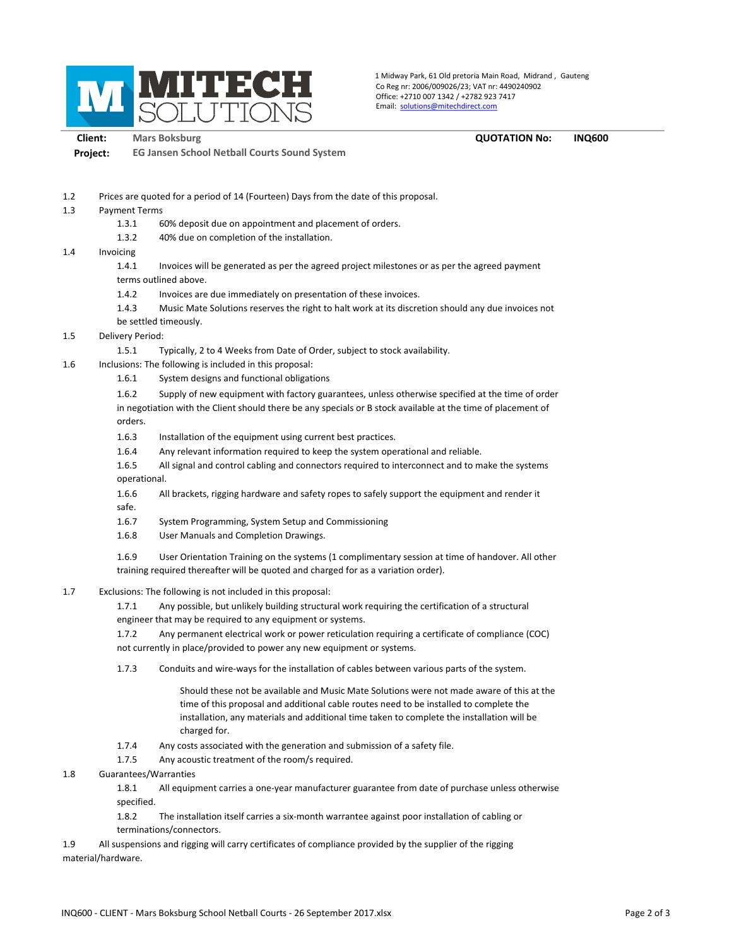

1 Midway Park, 61 Old pretoria Main Road, Midrand , Gauteng Co Reg nr: 2006/009026/23; VAT nr: 4490240902 Office: +2710 007 1342 / +2782 923 7417 Email: solutions@mitechdirect.com

**Client: Mars Boksburg QUOTATION No: INQ600 Project: EG Jansen School Netball Courts Sound System**

1.2 Prices are quoted for a period of 14 (Fourteen) Days from the date of this proposal.

- 1.3 Payment Terms
	- 1.3.1 60% deposit due on appointment and placement of orders.
	- 1.3.2 40% due on completion of the installation.
- 1.4 Invoicing

1.4.1 Invoices will be generated as per the agreed project milestones or as per the agreed payment terms outlined above.

- 1.4.2 Invoices are due immediately on presentation of these invoices.
- 1.4.3 Music Mate Solutions reserves the right to halt work at its discretion should any due invoices not be settled timeously.
- 1.5 Delivery Period:
	- 1.5.1 Typically, 2 to 4 Weeks from Date of Order, subject to stock availability.
- 1.6 Inclusions: The following is included in this proposal:
	- 1.6.1 System designs and functional obligations
	- 1.6.2 Supply of new equipment with factory guarantees, unless otherwise specified at the time of order

in negotiation with the Client should there be any specials or B stock available at the time of placement of orders.

- 1.6.3 Installation of the equipment using current best practices.
- 1.6.4 Any relevant information required to keep the system operational and reliable.
- 1.6.5 All signal and control cabling and connectors required to interconnect and to make the systems operational.
- 1.6.6 All brackets, rigging hardware and safety ropes to safely support the equipment and render it safe.
- 1.6.7 System Programming, System Setup and Commissioning
- 1.6.8 User Manuals and Completion Drawings.
- 1.6.9 User Orientation Training on the systems (1 complimentary session at time of handover. All other training required thereafter will be quoted and charged for as a variation order).
- 1.7 Exclusions: The following is not included in this proposal:
	- 1.7.1 Any possible, but unlikely building structural work requiring the certification of a structural engineer that may be required to any equipment or systems.
	- 1.7.2 Any permanent electrical work or power reticulation requiring a certificate of compliance (COC)

not currently in place/provided to power any new equipment or systems.

1.7.3 Conduits and wire-ways for the installation of cables between various parts of the system.

Should these not be available and Music Mate Solutions were not made aware of this at the time of this proposal and additional cable routes need to be installed to complete the installation, any materials and additional time taken to complete the installation will be charged for.

- 1.7.4 Any costs associated with the generation and submission of a safety file.
- 1.7.5 Any acoustic treatment of the room/s required.
- 1.8 Guarantees/Warranties

1.8.1 All equipment carries a one-year manufacturer guarantee from date of purchase unless otherwise specified.

1.8.2 The installation itself carries a six-month warrantee against poor installation of cabling or terminations/connectors.

1.9 All suspensions and rigging will carry certificates of compliance provided by the supplier of the rigging material/hardware.